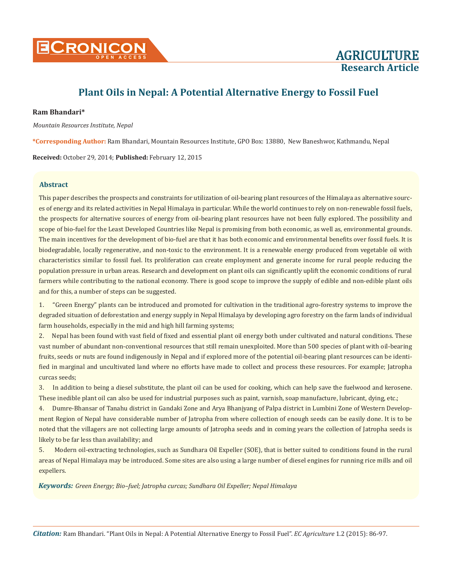

# **Plant Oils in Nepal: A Potential Alternative Energy to Fossil Fuel**

# **Ram Bhandari\***

*Mountain Resources Institute, Nepal*

**\*Corresponding Author:** Ram Bhandari, Mountain Resources Institute, GPO Box: 13880, New Baneshwor, Kathmandu, Nepal

**Received:** October 29, 2014; **Published:** February 12, 2015

## **Abstract**

This paper describes the prospects and constraints for utilization of oil-bearing plant resources of the Himalaya as alternative sources of energy and its related activities in Nepal Himalaya in particular. While the world continues to rely on non-renewable fossil fuels, the prospects for alternative sources of energy from oil-bearing plant resources have not been fully explored. The possibility and scope of bio-fuel for the Least Developed Countries like Nepal is promising from both economic, as well as, environmental grounds. The main incentives for the development of bio-fuel are that it has both economic and environmental benefits over fossil fuels. It is biodegradable, locally regenerative, and non-toxic to the environment. It is a renewable energy produced from vegetable oil with characteristics similar to fossil fuel. Its proliferation can create employment and generate income for rural people reducing the population pressure in urban areas. Research and development on plant oils can significantly uplift the economic conditions of rural farmers while contributing to the national economy. There is good scope to improve the supply of edible and non-edible plant oils and for this, a number of steps can be suggested.

1. "Green Energy" plants can be introduced and promoted for cultivation in the traditional agro-forestry systems to improve the degraded situation of deforestation and energy supply in Nepal Himalaya by developing agro forestry on the farm lands of individual farm households, especially in the mid and high hill farming systems;

2. Nepal has been found with vast field of fixed and essential plant oil energy both under cultivated and natural conditions. These vast number of abundant non-conventional resources that still remain unexploited. More than 500 species of plant with oil-bearing fruits, seeds or nuts are found indigenously in Nepal and if explored more of the potential oil-bearing plant resources can be identified in marginal and uncultivated land where no efforts have made to collect and process these resources. For example; Jatropha curcas seeds;

3. In addition to being a diesel substitute, the plant oil can be used for cooking, which can help save the fuelwood and kerosene. These inedible plant oil can also be used for industrial purposes such as paint, varnish, soap manufacture, lubricant, dying, etc.;

4. Dumre-Bhansar of Tanahu district in Gandaki Zone and Arya Bhanjyang of Palpa district in Lumbini Zone of Western Development Region of Nepal have considerable number of Jatropha from where collection of enough seeds can be easily done. It is to be noted that the villagers are not collecting large amounts of Jatropha seeds and in coming years the collection of Jatropha seeds is likely to be far less than availability; and

5. Modern oil-extracting technologies, such as Sundhara Oil Expeller (SOE), that is better suited to conditions found in the rural areas of Nepal Himalaya may be introduced. Some sites are also using a large number of diesel engines for running rice mills and oil expellers.

*Keywords: Green Energy; Bio–fuel; Jatropha curcas; Sundhara Oil Expeller; Nepal Himalaya*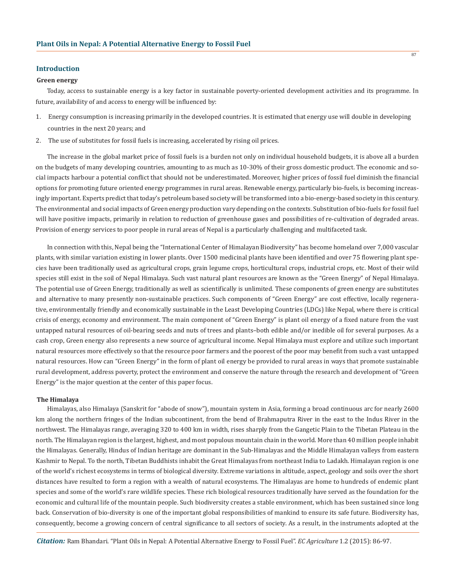#### **Introduction**

#### **Green energy**

Today, access to sustainable energy is a key factor in sustainable poverty-oriented development activities and its programme. In future, availability of and access to energy will be influenced by:

- 1. Energy consumption is increasing primarily in the developed countries. It is estimated that energy use will double in developing countries in the next 20 years; and
- 2. The use of substitutes for fossil fuels is increasing, accelerated by rising oil prices.

The increase in the global market price of fossil fuels is a burden not only on individual household budgets, it is above all a burden on the budgets of many developing countries, amounting to as much as 10-30% of their gross domestic product. The economic and social impacts harbour a potential conflict that should not be underestimated. Moreover, higher prices of fossil fuel diminish the financial options for promoting future oriented energy programmes in rural areas. Renewable energy, particularly bio-fuels, is becoming increasingly important. Experts predict that today's petroleum based society will be transformed into a bio-energy-based society in this century. The environmental and social impacts of Green energy production vary depending on the contexts. Substitution of bio-fuels for fossil fuel will have positive impacts, primarily in relation to reduction of greenhouse gases and possibilities of re-cultivation of degraded areas. Provision of energy services to poor people in rural areas of Nepal is a particularly challenging and multifaceted task.

In connection with this, Nepal being the "International Center of Himalayan Biodiversity" has become homeland over 7,000 vascular plants, with similar variation existing in lower plants. Over 1500 medicinal plants have been identified and over 75 flowering plant species have been traditionally used as agricultural crops, grain legume crops, horticultural crops, industrial crops, etc. Most of their wild species still exist in the soil of Nepal Himalaya. Such vast natural plant resources are known as the "Green Energy" of Nepal Himalaya. The potential use of Green Energy, traditionally as well as scientifically is unlimited. These components of green energy are substitutes and alternative to many presently non-sustainable practices. Such components of "Green Energy" are cost effective, locally regenerative, environmentally friendly and economically sustainable in the Least Developing Countries (LDCs) like Nepal, where there is critical crisis of energy, economy and environment. The main component of "Green Energy" is plant oil energy of a fixed nature from the vast untapped natural resources of oil-bearing seeds and nuts of trees and plants–both edible and/or inedible oil for several purposes. As a cash crop, Green energy also represents a new source of agricultural income. Nepal Himalaya must explore and utilize such important natural resources more effectively so that the resource poor farmers and the poorest of the poor may benefit from such a vast untapped natural resources. How can "Green Energy" in the form of plant oil energy be provided to rural areas in ways that promote sustainable rural development, address poverty, protect the environment and conserve the nature through the research and development of "Green Energy" is the major question at the center of this paper focus.

## **The Himalaya**

Himalayas, also Himalaya (Sanskrit for "abode of snow"), mountain system in Asia, forming a broad continuous arc for nearly 2600 km along the northern fringes of the Indian subcontinent, from the bend of Brahmaputra River in the east to the Indus River in the northwest. The Himalayas range, averaging 320 to 400 km in width, rises sharply from the Gangetic Plain to the Tibetan Plateau in the north. The Himalayan region is the largest, highest, and most populous mountain chain in the world. More than 40 million people inhabit the Himalayas. Generally, Hindus of Indian heritage are dominant in the Sub-Himalayas and the Middle Himalayan valleys from eastern Kashmir to Nepal. To the north, Tibetan Buddhists inhabit the Great Himalayas from northeast India to Ladakh. Himalayan region is one of the world's richest ecosystems in terms of biological diversity. Extreme variations in altitude, aspect, geology and soils over the short distances have resulted to form a region with a wealth of natural ecosystems. The Himalayas are home to hundreds of endemic plant species and some of the world's rare wildlife species. These rich biological resources traditionally have served as the foundation for the economic and cultural life of the mountain people. Such biodiversity creates a stable environment, which has been sustained since long back. Conservation of bio-diversity is one of the important global responsibilities of mankind to ensure its safe future. Biodiversity has, consequently, become a growing concern of central significance to all sectors of society. As a result, in the instruments adopted at the

*Citation:* Ram Bhandari. "Plant Oils in Nepal: A Potential Alternative Energy to Fossil Fuel". *EC Agriculture* 1.2 (2015): 86-97.

87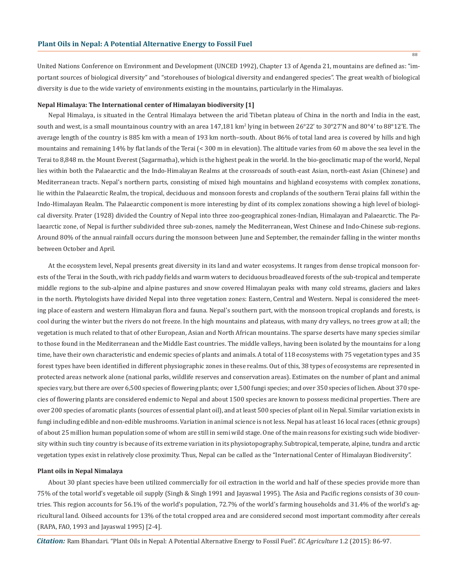United Nations Conference on Environment and Development (UNCED 1992), Chapter 13 of Agenda 21, mountains are defined as: "important sources of biological diversity" and "storehouses of biological diversity and endangered species". The great wealth of biological diversity is due to the wide variety of environments existing in the mountains, particularly in the Himalayas.

## **Nepal Himalaya: The International center of Himalayan biodiversity [1]**

Nepal Himalaya, is situated in the Central Himalaya between the arid Tibetan plateau of China in the north and India in the east, south and west, is a small mountainous country with an area 147,181 km<sup>2</sup> lying in between 26°22' to 30°27'N and 80°4' to 88°12'E. The average length of the country is 885 km with a mean of 193 km north–south. About 86% of total land area is covered by hills and high mountains and remaining 14% by flat lands of the Terai (< 300 m in elevation). The altitude varies from 60 m above the sea level in the Terai to 8,848 m. the Mount Everest (Sagarmatha), which is the highest peak in the world. In the bio-geoclimatic map of the world, Nepal lies within both the Palaearctic and the Indo-Himalayan Realms at the crossroads of south-east Asian, north-east Asian (Chinese) and Mediterranean tracts. Nepal's northern parts, consisting of mixed high mountains and highland ecosystems with complex zonations, lie within the Palaearctic Realm, the tropical, deciduous and monsoon forests and croplands of the southern Terai plains fall within the Indo-Himalayan Realm. The Palaearctic component is more interesting by dint of its complex zonations showing a high level of biological diversity. Prater (1928) divided the Country of Nepal into three zoo-geographical zones-Indian, Himalayan and Palaearctic. The Palaearctic zone, of Nepal is further subdivided three sub-zones, namely the Mediterranean, West Chinese and Indo-Chinese sub-regions. Around 80% of the annual rainfall occurs during the monsoon between June and September, the remainder falling in the winter months between October and April.

At the ecosystem level, Nepal presents great diversity in its land and water ecosystems. It ranges from dense tropical monsoon forests of the Terai in the South, with rich paddy fields and warm waters to deciduous broadleaved forests of the sub-tropical and temperate middle regions to the sub-alpine and alpine pastures and snow covered Himalayan peaks with many cold streams, glaciers and lakes in the north. Phytologists have divided Nepal into three vegetation zones: Eastern, Central and Western. Nepal is considered the meeting place of eastern and western Himalayan flora and fauna. Nepal's southern part, with the monsoon tropical croplands and forests, is cool during the winter but the rivers do not freeze. In the high mountains and plateaus, with many dry valleys, no trees grow at all; the vegetation is much related to that of other European, Asian and North African mountains. The sparse deserts have many species similar to those found in the Mediterranean and the Middle East countries. The middle valleys, having been isolated by the mountains for a long time, have their own characteristic and endemic species of plants and animals. A total of 118 ecosystems with 75 vegetation types and 35 forest types have been identified in different physiographic zones in these realms. Out of this, 38 types of ecosystems are represented in protected areas network alone (national parks, wildlife reserves and conservation areas). Estimates on the number of plant and animal species vary, but there are over 6,500 species of flowering plants; over 1,500 fungi species; and over 350 species of lichen. About 370 species of flowering plants are considered endemic to Nepal and about 1500 species are known to possess medicinal properties. There are over 200 species of aromatic plants (sources of essential plant oil), and at least 500 species of plant oil in Nepal. Similar variation exists in fungi including edible and non-edible mushrooms. Variation in animal science is not less. Nepal has at least 16 local races (ethnic groups) of about 25 million human population some of whom are still in semi wild stage. One of the main reasons for existing such wide biodiversity within such tiny country is because of its extreme variation in its physiotopography. Subtropical, temperate, alpine, tundra and arctic vegetation types exist in relatively close proximity. Thus, Nepal can be called as the "International Center of Himalayan Biodiversity".

## **Plant oils in Nepal Nimalaya**

About 30 plant species have been utilized commercially for oil extraction in the world and half of these species provide more than 75% of the total world's vegetable oil supply (Singh & Singh 1991 and Jayaswal 1995). The Asia and Pacific regions consists of 30 countries. This region accounts for 56.1% of the world's population, 72.7% of the world's farming households and 31.4% of the world's agricultural land. Oilseed accounts for 13% of the total cropped area and are considered second most important commodity after cereals (RAPA, FAO, 1993 and Jayaswal 1995) [2-4].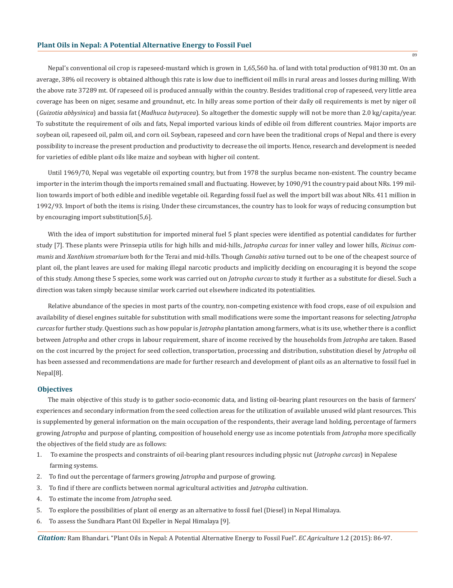Nepal's conventional oil crop is rapeseed-mustard which is grown in 1,65,560 ha. of land with total production of 98130 mt. On an average, 38% oil recovery is obtained although this rate is low due to inefficient oil mills in rural areas and losses during milling. With the above rate 37289 mt. Of rapeseed oil is produced annually within the country. Besides traditional crop of rapeseed, very little area coverage has been on niger, sesame and groundnut, etc. In hilly areas some portion of their daily oil requirements is met by niger oil (*Guizotia abbysinica*) and bassia fat (*Madhuca butyracea*). So altogether the domestic supply will not be more than 2.0 kg/capita/year. To substitute the requirement of oils and fats, Nepal imported various kinds of edible oil from different countries. Major imports are soybean oil, rapeseed oil, palm oil, and corn oil. Soybean, rapeseed and corn have been the traditional crops of Nepal and there is every possibility to increase the present production and productivity to decrease the oil imports. Hence, research and development is needed for varieties of edible plant oils like maize and soybean with higher oil content.

Until 1969/70, Nepal was vegetable oil exporting country, but from 1978 the surplus became non-existent. The country became importer in the interim though the imports remained small and fluctuating. However, by 1090/91 the country paid about NRs. 199 million towards import of both edible and inedible vegetable oil. Regarding fossil fuel as well the import bill was about NRs. 411 million in 1992/93. Import of both the items is rising. Under these circumstances, the country has to look for ways of reducing consumption but by encouraging import substitution[5,6].

With the idea of import substitution for imported mineral fuel 5 plant species were identified as potential candidates for further study [7]. These plants were Prinsepia utilis for high hills and mid-hills, *Jatropha curcas* for inner valley and lower hills, *Ricinus communis* and *Xanthium stromarium* both for the Terai and mid-hills. Though *Canabis sativa* turned out to be one of the cheapest source of plant oil, the plant leaves are used for making illegal narcotic products and implicitly deciding on encouraging it is beyond the scope of this study. Among these 5 species, some work was carried out on *Jatropha curcas* to study it further as a substitute for diesel. Such a direction was taken simply because similar work carried out elsewhere indicated its potentialities.

Relative abundance of the species in most parts of the country, non-competing existence with food crops, ease of oil expulsion and availability of diesel engines suitable for substitution with small modifications were some the important reasons for selecting *Jatropha curcas* for further study. Questions such as how popular is *Jatropha* plantation among farmers, what is its use, whether there is a conflict between *Jatropha* and other crops in labour requirement, share of income received by the households from *Jatropha* are taken. Based on the cost incurred by the project for seed collection, transportation, processing and distribution, substitution diesel by *Jatropha* oil has been assessed and recommendations are made for further research and development of plant oils as an alternative to fossil fuel in Nepal[8].

#### **Objectives**

The main objective of this study is to gather socio-economic data, and listing oil-bearing plant resources on the basis of farmers' experiences and secondary information from the seed collection areas for the utilization of available unused wild plant resources. This is supplemented by general information on the main occupation of the respondents, their average land holding, percentage of farmers growing *Jatropha* and purpose of planting, composition of household energy use as income potentials from *Jatropha* more specifically the objectives of the field study are as follows:

- 1. To examine the prospects and constraints of oil-bearing plant resources including physic nut (*Jatropha curcas*) in Nepalese farming systems.
- 2. To find out the percentage of farmers growing *Jatropha* and purpose of growing.
- 3. To find if there are conflicts between normal agricultural activities and *Jatropha* cultivation.
- 4. To estimate the income from *Jatropha* seed.
- 5. To explore the possibilities of plant oil energy as an alternative to fossil fuel (Diesel) in Nepal Himalaya.
- 6. To assess the Sundhara Plant Oil Expeller in Nepal Himalaya [9].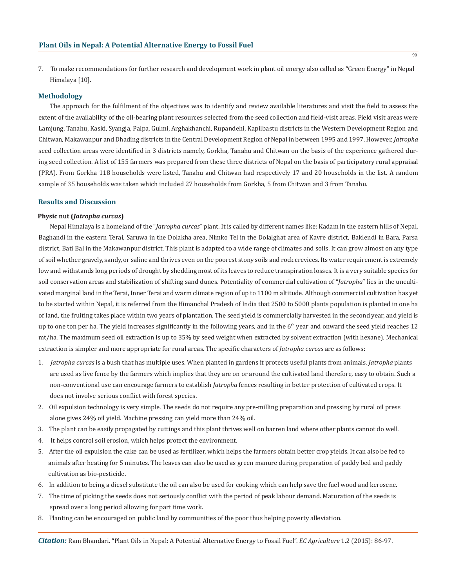7. To make recommendations for further research and development work in plant oil energy also called as "Green Energy" in Nepal Himalaya [10].

## **Methodology**

The approach for the fulfilment of the objectives was to identify and review available literatures and visit the field to assess the extent of the availability of the oil-bearing plant resources selected from the seed collection and field-visit areas. Field visit areas were Lamjung, Tanahu, Kaski, Syangja, Palpa, Gulmi, Arghakhanchi, Rupandehi, Kapilbastu districts in the Western Development Region and Chitwan, Makawanpur and Dhading districts in the Central Development Region of Nepal in between 1995 and 1997. However, *Jatropha* seed collection areas were identified in 3 districts namely, Gorkha, Tanahu and Chitwan on the basis of the experience gathered during seed collection. A list of 155 farmers was prepared from these three districts of Nepal on the basis of participatory rural appraisal (PRA). From Gorkha 118 households were listed, Tanahu and Chitwan had respectively 17 and 20 households in the list. A random sample of 35 households was taken which included 27 households from Gorkha, 5 from Chitwan and 3 from Tanahu.

## **Results and Discussion**

#### **Physic nut (***Jatropha curcas***)**

Nepal Himalaya is a homeland of the "*Jatropha curcas*" plant. It is called by different names like: Kadam in the eastern hills of Nepal, Baghandi in the eastern Terai, Saruwa in the Dolakha area, Nimko Tel in the Dolalghat area of Kavre district, Baklendi in Bara, Parsa district, Bati Bal in the Makawanpur district. This plant is adapted to a wide range of climates and soils. It can grow almost on any type of soil whether gravely, sandy, or saline and thrives even on the poorest stony soils and rock crevices. Its water requirement is extremely low and withstands long periods of drought by shedding most of its leaves to reduce transpiration losses. It is a very suitable species for soil conservation areas and stabilization of shifting sand dunes. Potentiality of commercial cultivation of "*Jatropha*" lies in the uncultivated marginal land in the Terai, Inner Terai and warm climate region of up to 1100 m altitude. Although commercial cultivation has yet to be started within Nepal, it is referred from the Himanchal Pradesh of India that 2500 to 5000 plants population is planted in one ha of land, the fruiting takes place within two years of plantation. The seed yield is commercially harvested in the second year, and yield is up to one ton per ha. The yield increases significantly in the following years, and in the  $6<sup>th</sup>$  year and onward the seed yield reaches 12 mt/ha. The maximum seed oil extraction is up to 35% by seed weight when extracted by solvent extraction (with hexane). Mechanical extraction is simpler and more appropriate for rural areas. The specific characters of *Jatropha curcas* are as follows:

- 1. *Jatropha curcas* is a bush that has multiple uses. When planted in gardens it protects useful plants from animals. *Jatropha* plants are used as live fence by the farmers which implies that they are on or around the cultivated land therefore, easy to obtain. Such a non-conventional use can encourage farmers to establish *Jatropha* fences resulting in better protection of cultivated crops. It does not involve serious conflict with forest species.
- 2. Oil expulsion technology is very simple. The seeds do not require any pre-milling preparation and pressing by rural oil press alone gives 24% oil yield. Machine pressing can yield more than 24% oil.
- 3. The plant can be easily propagated by cuttings and this plant thrives well on barren land where other plants cannot do well.
- 4. It helps control soil erosion, which helps protect the environment.
- 5. After the oil expulsion the cake can be used as fertilizer, which helps the farmers obtain better crop yields. It can also be fed to animals after heating for 5 minutes. The leaves can also be used as green manure during preparation of paddy bed and paddy cultivation as bio-pesticide.
- 6. In addition to being a diesel substitute the oil can also be used for cooking which can help save the fuel wood and kerosene.
- 7. The time of picking the seeds does not seriously conflict with the period of peak labour demand. Maturation of the seeds is spread over a long period allowing for part time work.
- 8. Planting can be encouraged on public land by communities of the poor thus helping poverty alleviation.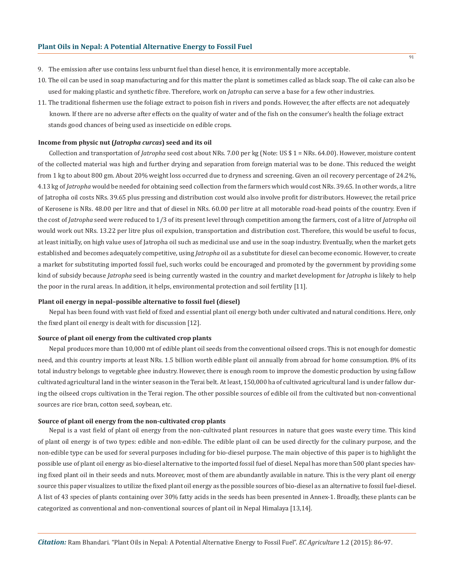- 9. The emission after use contains less unburnt fuel than diesel hence, it is environmentally more acceptable.
- 10. The oil can be used in soap manufacturing and for this matter the plant is sometimes called as black soap. The oil cake can also be used for making plastic and synthetic fibre. Therefore, work on *Jatropha* can serve a base for a few other industries.
- 11. The traditional fishermen use the foliage extract to poison fish in rivers and ponds. However, the after effects are not adequately known. If there are no adverse after effects on the quality of water and of the fish on the consumer's health the foliage extract stands good chances of being used as insecticide on edible crops.

#### **Income from physic nut (***Jatropha curcas***) seed and its oil**

Collection and transportation of *Jatropha* seed cost about NRs. 7.00 per kg (Note: US \$ 1 = NRs. 64.00). However, moisture content of the collected material was high and further drying and separation from foreign material was to be done. This reduced the weight from 1 kg to about 800 gm. About 20% weight loss occurred due to dryness and screening. Given an oil recovery percentage of 24.2%, 4.13 kg of *Jatropha* would be needed for obtaining seed collection from the farmers which would cost NRs. 39.65. In other words, a litre of Jatropha oil costs NRs. 39.65 plus pressing and distribution cost would also involve profit for distributors. However, the retail price of Kerosene is NRs. 48.00 per litre and that of diesel in NRs. 60.00 per litre at all motorable road-head points of the country. Even if the cost of *Jatropha* seed were reduced to 1/3 of its present level through competition among the farmers, cost of a litre of *Jatropha* oil would work out NRs. 13.22 per litre plus oil expulsion, transportation and distribution cost. Therefore, this would be useful to focus, at least initially, on high value uses of Jatropha oil such as medicinal use and use in the soap industry. Eventually, when the market gets established and becomes adequately competitive, using *Jatropha* oil as a substitute for diesel can become economic. However, to create a market for substituting imported fossil fuel, such works could be encouraged and promoted by the government by providing some kind of subsidy because *Jatropha* seed is being currently wasted in the country and market development for *Jatropha* is likely to help the poor in the rural areas. In addition, it helps, environmental protection and soil fertility [11].

## **Plant oil energy in nepal–possible alternative to fossil fuel (diesel)**

Nepal has been found with vast field of fixed and essential plant oil energy both under cultivated and natural conditions. Here, only the fixed plant oil energy is dealt with for discussion [12].

## **Source of plant oil energy from the cultivated crop plants**

Nepal produces more than 10,000 mt of edible plant oil seeds from the conventional oilseed crops. This is not enough for domestic need, and this country imports at least NRs. 1.5 billion worth edible plant oil annually from abroad for home consumption. 8% of its total industry belongs to vegetable ghee industry. However, there is enough room to improve the domestic production by using fallow cultivated agricultural land in the winter season in the Terai belt. At least, 150,000 ha of cultivated agricultural land is under fallow during the oilseed crops cultivation in the Terai region. The other possible sources of edible oil from the cultivated but non-conventional sources are rice bran, cotton seed, soybean, etc.

## **Source of plant oil energy from the non-cultivated crop plants**

Nepal is a vast field of plant oil energy from the non-cultivated plant resources in nature that goes waste every time. This kind of plant oil energy is of two types: edible and non-edible. The edible plant oil can be used directly for the culinary purpose, and the non-edible type can be used for several purposes including for bio-diesel purpose. The main objective of this paper is to highlight the possible use of plant oil energy as bio-diesel alternative to the imported fossil fuel of diesel. Nepal has more than 500 plant species having fixed plant oil in their seeds and nuts. Moreover, most of them are abundantly available in nature. This is the very plant oil energy source this paper visualizes to utilize the fixed plant oil energy as the possible sources of bio-diesel as an alternative to fossil fuel-diesel. A list of 43 species of plants containing over 30% fatty acids in the seeds has been presented in Annex-1. Broadly, these plants can be categorized as conventional and non-conventional sources of plant oil in Nepal Himalaya [13,14].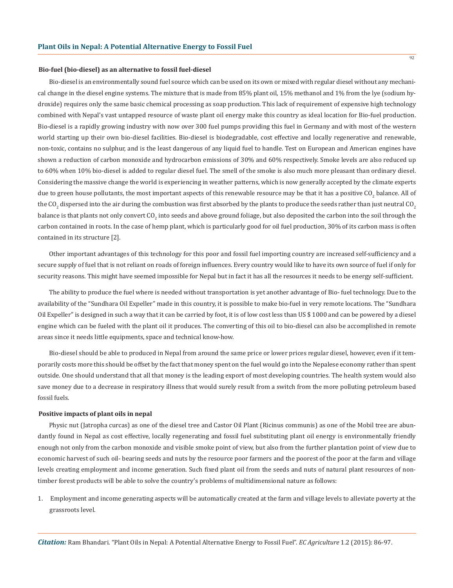## **Bio-fuel (bio-diesel) as an alternative to fossil fuel-diesel**

Bio-diesel is an environmentally sound fuel source which can be used on its own or mixed with regular diesel without any mechanical change in the diesel engine systems. The mixture that is made from 85% plant oil, 15% methanol and 1% from the lye (sodium hydroxide) requires only the same basic chemical processing as soap production. This lack of requirement of expensive high technology combined with Nepal's vast untapped resource of waste plant oil energy make this country as ideal location for Bio-fuel production. Bio-diesel is a rapidly growing industry with now over 300 fuel pumps providing this fuel in Germany and with most of the western world starting up their own bio-diesel facilities. Bio-diesel is biodegradable, cost effective and locally regenerative and renewable, non-toxic, contains no sulphur, and is the least dangerous of any liquid fuel to handle. Test on European and American engines have shown a reduction of carbon monoxide and hydrocarbon emissions of 30% and 60% respectively. Smoke levels are also reduced up to 60% when 10% bio-diesel is added to regular diesel fuel. The smell of the smoke is also much more pleasant than ordinary diesel. Considering the massive change the world is experiencing in weather patterns, which is now generally accepted by the climate experts due to green house pollutants, the most important aspects of this renewable resource may be that it has a positive CO<sub>2</sub> balance. All of the CO<sub>2</sub> dispersed into the air during the combustion was first absorbed by the plants to produce the seeds rather than just neutral CO<sub>2</sub> balance is that plants not only convert CO<sub>2</sub> into seeds and above ground foliage, but also deposited the carbon into the soil through the carbon contained in roots. In the case of hemp plant, which is particularly good for oil fuel production, 30% of its carbon mass is often contained in its structure [2].

Other important advantages of this technology for this poor and fossil fuel importing country are increased self-sufficiency and a secure supply of fuel that is not reliant on roads of foreign influences. Every country would like to have its own source of fuel if only for security reasons. This might have seemed impossible for Nepal but in fact it has all the resources it needs to be energy self-sufficient.

The ability to produce the fuel where is needed without transportation is yet another advantage of Bio- fuel technology. Due to the availability of the "Sundhara Oil Expeller" made in this country, it is possible to make bio-fuel in very remote locations. The "Sundhara Oil Expeller" is designed in such a way that it can be carried by foot, it is of low cost less than US \$ 1000 and can be powered by a diesel engine which can be fueled with the plant oil it produces. The converting of this oil to bio-diesel can also be accomplished in remote areas since it needs little equipments, space and technical know-how.

Bio-diesel should be able to produced in Nepal from around the same price or lower prices regular diesel, however, even if it temporarily costs more this should be offset by the fact that money spent on the fuel would go into the Nepalese economy rather than spent outside. One should understand that all that money is the leading export of most developing countries. The health system would also save money due to a decrease in respiratory illness that would surely result from a switch from the more polluting petroleum based fossil fuels.

## **Positive impacts of plant oils in nepal**

Physic nut (Jatropha curcas) as one of the diesel tree and Castor Oil Plant (Ricinus communis) as one of the Mobil tree are abundantly found in Nepal as cost effective, locally regenerating and fossil fuel substituting plant oil energy is environmentally friendly enough not only from the carbon monoxide and visible smoke point of view, but also from the further plantation point of view due to economic harvest of such oil- bearing seeds and nuts by the resource poor farmers and the poorest of the poor at the farm and village levels creating employment and income generation. Such fixed plant oil from the seeds and nuts of natural plant resources of nontimber forest products will be able to solve the country's problems of multidimensional nature as follows:

1. Employment and income generating aspects will be automatically created at the farm and village levels to alleviate poverty at the grassroots level.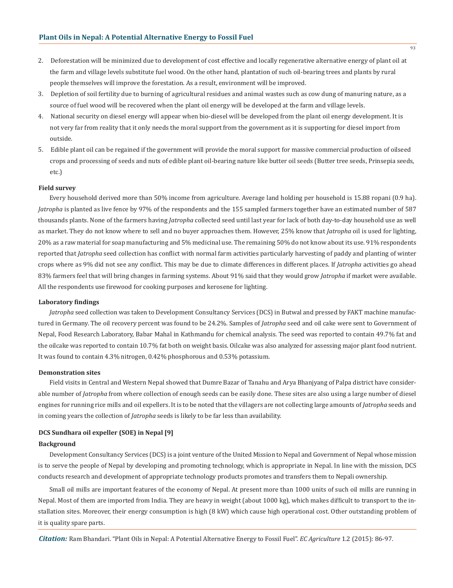- 2. Deforestation will be minimized due to development of cost effective and locally regenerative alternative energy of plant oil at the farm and village levels substitute fuel wood. On the other hand, plantation of such oil-bearing trees and plants by rural people themselves will improve the forestation. As a result, environment will be improved.
- 3. Depletion of soil fertility due to burning of agricultural residues and animal wastes such as cow dung of manuring nature, as a source of fuel wood will be recovered when the plant oil energy will be developed at the farm and village levels.
- 4. National security on diesel energy will appear when bio-diesel will be developed from the plant oil energy development. It is not very far from reality that it only needs the moral support from the government as it is supporting for diesel import from outside.
- 5. Edible plant oil can be regained if the government will provide the moral support for massive commercial production of oilseed crops and processing of seeds and nuts of edible plant oil-bearing nature like butter oil seeds (Butter tree seeds, Prinsepia seeds, etc.)

#### **Field survey**

Every household derived more than 50% income from agriculture. Average land holding per household is 15.88 ropani (0.9 ha). *Jatropha* is planted as live fence by 97% of the respondents and the 155 sampled farmers together have an estimated number of 587 thousands plants. None of the farmers having *Jatropha* collected seed until last year for lack of both day-to-day household use as well as market. They do not know where to sell and no buyer approaches them. However, 25% know that *Jatropha* oil is used for lighting, 20% as a raw material for soap manufacturing and 5% medicinal use. The remaining 50% do not know about its use. 91% respondents reported that *Jatropha* seed collection has conflict with normal farm activities particularly harvesting of paddy and planting of winter crops where as 9% did not see any conflict. This may be due to climate differences in different places. If *Jatropha* activities go ahead 83% farmers feel that will bring changes in farming systems. About 91% said that they would grow *Jatropha* if market were available. All the respondents use firewood for cooking purposes and kerosene for lighting.

## **Laboratory findings**

*Jatropha* seed collection was taken to Development Consultancy Services (DCS) in Butwal and pressed by FAKT machine manufactured in Germany. The oil recovery percent was found to be 24.2%. Samples of *Jatropha* seed and oil cake were sent to Government of Nepal, Food Research Laboratory, Babar Mahal in Kathmandu for chemical analysis. The seed was reported to contain 49.7% fat and the oilcake was reported to contain 10.7% fat both on weight basis. Oilcake was also analyzed for assessing major plant food nutrient. It was found to contain 4.3% nitrogen, 0.42% phosphorous and 0.53% potassium.

## **Demonstration sites**

Field visits in Central and Western Nepal showed that Dumre Bazar of Tanahu and Arya Bhanjyang of Palpa district have considerable number of *Jatropha* from where collection of enough seeds can be easily done. These sites are also using a large number of diesel engines for running rice mills and oil expellers. It is to be noted that the villagers are not collecting large amounts of *Jatropha* seeds and in coming years the collection of *Jatropha* seeds is likely to be far less than availability.

#### **DCS Sundhara oil expeller (SOE) in Nepal [9]**

## **Background**

Development Consultancy Services (DCS) is a joint venture of the United Mission to Nepal and Government of Nepal whose mission is to serve the people of Nepal by developing and promoting technology, which is appropriate in Nepal. In line with the mission, DCS conducts research and development of appropriate technology products promotes and transfers them to Nepali ownership.

Small oil mills are important features of the economy of Nepal. At present more than 1000 units of such oil mills are running in Nepal. Most of them are imported from India. They are heavy in weight (about 1000 kg), which makes difficult to transport to the installation sites. Moreover, their energy consumption is high (8 kW) which cause high operational cost. Other outstanding problem of it is quality spare parts.

*Citation:* Ram Bhandari. "Plant Oils in Nepal: A Potential Alternative Energy to Fossil Fuel". *EC Agriculture* 1.2 (2015): 86-97.

**93**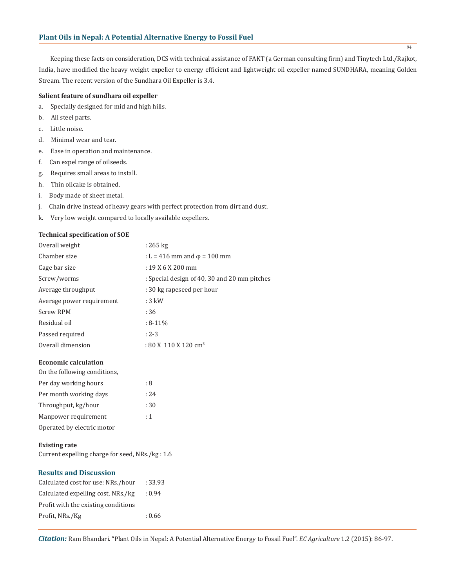Keeping these facts on consideration, DCS with technical assistance of FAKT (a German consulting firm) and Tinytech Ltd./Rajkot, India, have modified the heavy weight expeller to energy efficient and lightweight oil expeller named SUNDHARA, meaning Golden Stream. The recent version of the Sundhara Oil Expeller is 3.4.

# **Salient feature of sundhara oil expeller**

- a. Specially designed for mid and high hills.
- b. All steel parts.
- c. Little noise.
- d. Minimal wear and tear.
- e. Ease in operation and maintenance.
- f. Can expel range of oilseeds.
- g. Requires small areas to install.
- h. Thin oilcake is obtained.
- i. Body made of sheet metal.
- j. Chain drive instead of heavy gears with perfect protection from dirt and dust.
- k. Very low weight compared to locally available expellers.

## **Technical specification of SOE**

| Overall weight            | $: 265 \text{ kg}$                           |
|---------------------------|----------------------------------------------|
| Chamber size              | : L = 416 mm and $\varphi$ = 100 mm          |
| Cage bar size             | $: 19X6X200$ mm                              |
| Screw/worms               | : Special design of 40, 30 and 20 mm pitches |
| Average throughput        | : 30 kg rapeseed per hour                    |
| Average power requirement | $:3$ kW                                      |
| <b>Screw RPM</b>          | :36                                          |
| Residual oil              | $: 8 - 11\%$                                 |
| Passed required           | $: 2 - 3$                                    |
| Overall dimension         | $: 80 \times 110 \times 120$ cm <sup>3</sup> |
|                           |                                              |

## **Economic calculation**

| On the following conditions. |      |
|------------------------------|------|
| Per day working hours        | : 8  |
| Per month working days       | : 24 |
| Throughput, kg/hour          | :30  |
| Manpower requirement         | : 1  |
| Operated by electric motor   |      |

## **Existing rate**

Current expelling charge for seed, NRs./kg : 1.6

# **Results and Discussion**

| Calculated cost for use: NRs./hour  | : 33.93 |
|-------------------------------------|---------|
| Calculated expelling cost, NRs./kg  | : 0.94  |
| Profit with the existing conditions |         |
| Profit, NRs./Kg                     | : 0.66  |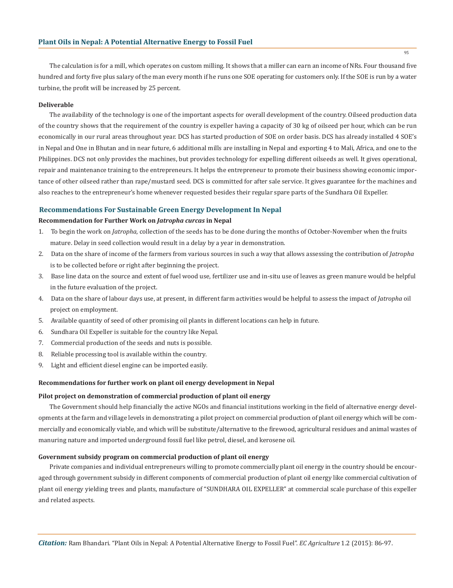The calculation is for a mill, which operates on custom milling. It shows that a miller can earn an income of NRs. Four thousand five hundred and forty five plus salary of the man every month if he runs one SOE operating for customers only. If the SOE is run by a water turbine, the profit will be increased by 25 percent.

## **Deliverable**

The availability of the technology is one of the important aspects for overall development of the country. Oilseed production data of the country shows that the requirement of the country is expeller having a capacity of 30 kg of oilseed per hour, which can be run economically in our rural areas throughout year. DCS has started production of SOE on order basis. DCS has already installed 4 SOE's in Nepal and One in Bhutan and in near future, 6 additional mills are installing in Nepal and exporting 4 to Mali, Africa, and one to the Philippines. DCS not only provides the machines, but provides technology for expelling different oilseeds as well. It gives operational, repair and maintenance training to the entrepreneurs. It helps the entrepreneur to promote their business showing economic importance of other oilseed rather than rape/mustard seed. DCS is committed for after sale service. It gives guarantee for the machines and also reaches to the entrepreneur's home whenever requested besides their regular spare parts of the Sundhara Oil Expeller.

#### **Recommendations For Sustainable Green Energy Development In Nepal**

## **Recommendation for Further Work on** *Jatropha curcas* **in Nepal**

- 1. To begin the work on *Jatropha*, collection of the seeds has to be done during the months of October-November when the fruits mature. Delay in seed collection would result in a delay by a year in demonstration.
- 2. Data on the share of income of the farmers from various sources in such a way that allows assessing the contribution of *Jatropha* is to be collected before or right after beginning the project.
- 3. Base line data on the source and extent of fuel wood use, fertilizer use and in-situ use of leaves as green manure would be helpful in the future evaluation of the project.
- 4. Data on the share of labour days use, at present, in different farm activities would be helpful to assess the impact of *Jatropha* oil project on employment.
- 5. Available quantity of seed of other promising oil plants in different locations can help in future.
- 6. Sundhara Oil Expeller is suitable for the country like Nepal.
- 7. Commercial production of the seeds and nuts is possible.
- 8. Reliable processing tool is available within the country.
- 9. Light and efficient diesel engine can be imported easily.

# **Recommendations for further work on plant oil energy development in Nepal**

## **Pilot project on demonstration of commercial production of plant oil energy**

The Government should help financially the active NGOs and financial institutions working in the field of alternative energy developments at the farm and village levels in demonstrating a pilot project on commercial production of plant oil energy which will be commercially and economically viable, and which will be substitute/alternative to the firewood, agricultural residues and animal wastes of manuring nature and imported underground fossil fuel like petrol, diesel, and kerosene oil.

#### **Government subsidy program on commercial production of plant oil energy**

Private companies and individual entrepreneurs willing to promote commercially plant oil energy in the country should be encouraged through government subsidy in different components of commercial production of plant oil energy like commercial cultivation of plant oil energy yielding trees and plants, manufacture of "SUNDHARA OIL EXPELLER" at commercial scale purchase of this expeller and related aspects.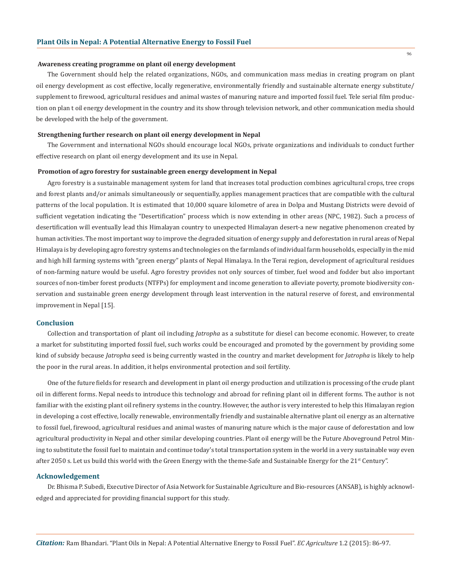#### **Awareness creating programme on plant oil energy development**

The Government should help the related organizations, NGOs, and communication mass medias in creating program on plant oil energy development as cost effective, locally regenerative, environmentally friendly and sustainable alternate energy substitute/ supplement to firewood, agricultural residues and animal wastes of manuring nature and imported fossil fuel. Tele serial film production on plan t oil energy development in the country and its show through television network, and other communication media should be developed with the help of the government.

## **Strengthening further research on plant oil energy development in Nepal**

The Government and international NGOs should encourage local NGOs, private organizations and individuals to conduct further effective research on plant oil energy development and its use in Nepal.

#### **Promotion of agro forestry for sustainable green energy development in Nepal**

Agro forestry is a sustainable management system for land that increases total production combines agricultural crops, tree crops and forest plants and/or animals simultaneously or sequentially, applies management practices that are compatible with the cultural patterns of the local population. It is estimated that 10,000 square kilometre of area in Dolpa and Mustang Districts were devoid of sufficient vegetation indicating the "Desertification" process which is now extending in other areas (NPC, 1982). Such a process of desertification will eventually lead this Himalayan country to unexpected Himalayan desert-a new negative phenomenon created by human activities. The most important way to improve the degraded situation of energy supply and deforestation in rural areas of Nepal Himalaya is by developing agro forestry systems and technologies on the farmlands of individual farm households, especially in the mid and high hill farming systems with "green energy" plants of Nepal Himalaya. In the Terai region, development of agricultural residues of non-farming nature would be useful. Agro forestry provides not only sources of timber, fuel wood and fodder but also important sources of non-timber forest products (NTFPs) for employment and income generation to alleviate poverty, promote biodiversity conservation and sustainable green energy development through least intervention in the natural reserve of forest, and environmental improvement in Nepal [15].

#### **Conclusion**

Collection and transportation of plant oil including *Jatropha* as a substitute for diesel can become economic. However, to create a market for substituting imported fossil fuel, such works could be encouraged and promoted by the government by providing some kind of subsidy because *Jatropha* seed is being currently wasted in the country and market development for *Jatropha* is likely to help the poor in the rural areas. In addition, it helps environmental protection and soil fertility.

One of the future fields for research and development in plant oil energy production and utilization is processing of the crude plant oil in different forms. Nepal needs to introduce this technology and abroad for refining plant oil in different forms. The author is not familiar with the existing plant oil refinery systems in the country. However, the author is very interested to help this Himalayan region in developing a cost effective, locally renewable, environmentally friendly and sustainable alternative plant oil energy as an alternative to fossil fuel, firewood, agricultural residues and animal wastes of manuring nature which is the major cause of deforestation and low agricultural productivity in Nepal and other similar developing countries. Plant oil energy will be the Future Aboveground Petrol Mining to substitute the fossil fuel to maintain and continue today's total transportation system in the world in a very sustainable way even after 2050 s. Let us build this world with the Green Energy with the theme-Safe and Sustainable Energy for the 21<sup>st</sup> Century".

# **Acknowledgement**

Dr. Bhisma P. Subedi, Executive Director of Asia Network for Sustainable Agriculture and Bio-resources (ANSAB), is highly acknowledged and appreciated for providing financial support for this study.